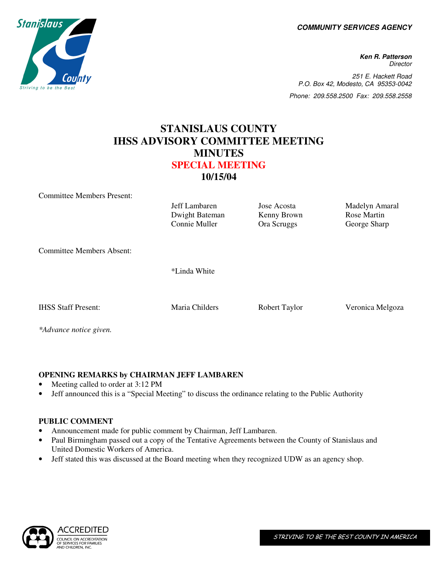**COMMUNITY SERVICES AGENCY** 

**Ken R. Patterson Director** 251 E. Hackett Road P.O. Box 42, Modesto, CA 95353-0042 Phone: 209.558.2500 Fax: 209.558.2558

## **STANISLAUS COUNTY IHSS ADVISORY COMMITTEE MEETING MINUTES SPECIAL MEETING 10/15/04**

Committee Members Present:

Jeff Lambaren Jose Acosta Madelyn Amaral Dwight Bateman Kenny Brown Rose Martin<br>
Connie Muller Cora Scruggs George Sharp George Sharp Committee Members Absent: \*Linda White IHSS Staff Present: Maria Childers Robert Taylor Veronica Melgoza *\*Advance notice given.* 

**OPENING REMARKS by CHAIRMAN JEFF LAMBAREN** 

- Meeting called to order at 3:12 PM
- Jeff announced this is a "Special Meeting" to discuss the ordinance relating to the Public Authority

## **PUBLIC COMMENT**

- Announcement made for public comment by Chairman, Jeff Lambaren.
- Paul Birmingham passed out a copy of the Tentative Agreements between the County of Stanislaus and United Domestic Workers of America.
- Jeff stated this was discussed at the Board meeting when they recognized UDW as an agency shop.